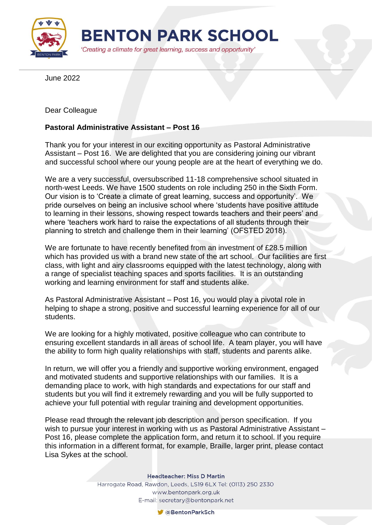

June 2022

Dear Colleague

## **Pastoral Administrative Assistant – Post 16**

Thank you for your interest in our exciting opportunity as Pastoral Administrative Assistant – Post 16. We are delighted that you are considering joining our vibrant and successful school where our young people are at the heart of everything we do.

We are a very successful, oversubscribed 11-18 comprehensive school situated in north-west Leeds. We have 1500 students on role including 250 in the Sixth Form. Our vision is to 'Create a climate of great learning, success and opportunity'. We pride ourselves on being an inclusive school where 'students have positive attitude to learning in their lessons, showing respect towards teachers and their peers' and where 'teachers work hard to raise the expectations of all students through their planning to stretch and challenge them in their learning' (OFSTED 2018).

We are fortunate to have recently benefited from an investment of £28.5 million which has provided us with a brand new state of the art school. Our facilities are first class, with light and airy classrooms equipped with the latest technology, along with a range of specialist teaching spaces and sports facilities. It is an outstanding working and learning environment for staff and students alike.

As Pastoral Administrative Assistant – Post 16, you would play a pivotal role in helping to shape a strong, positive and successful learning experience for all of our students.

We are looking for a highly motivated, positive colleague who can contribute to ensuring excellent standards in all areas of school life. A team player, you will have the ability to form high quality relationships with staff, students and parents alike.

In return, we will offer you a friendly and supportive working environment, engaged and motivated students and supportive relationships with our families. It is a demanding place to work, with high standards and expectations for our staff and students but you will find it extremely rewarding and you will be fully supported to achieve your full potential with regular training and development opportunities.

Please read through the relevant job description and person specification. If you wish to pursue your interest in working with us as Pastoral Administrative Assistant – Post 16, please complete the application form, and return it to school. If you require this information in a different format, for example, Braille, larger print, please contact Lisa Sykes at the school.

**Headteacher: Miss D Martin** 

Harrogate Road, Rawdon, Leeds, LS19 6LX Tel: (0113) 250 2330 www.bentonpark.org.uk E-mail: secretary@bentonpark.net

CaBentonParkSch